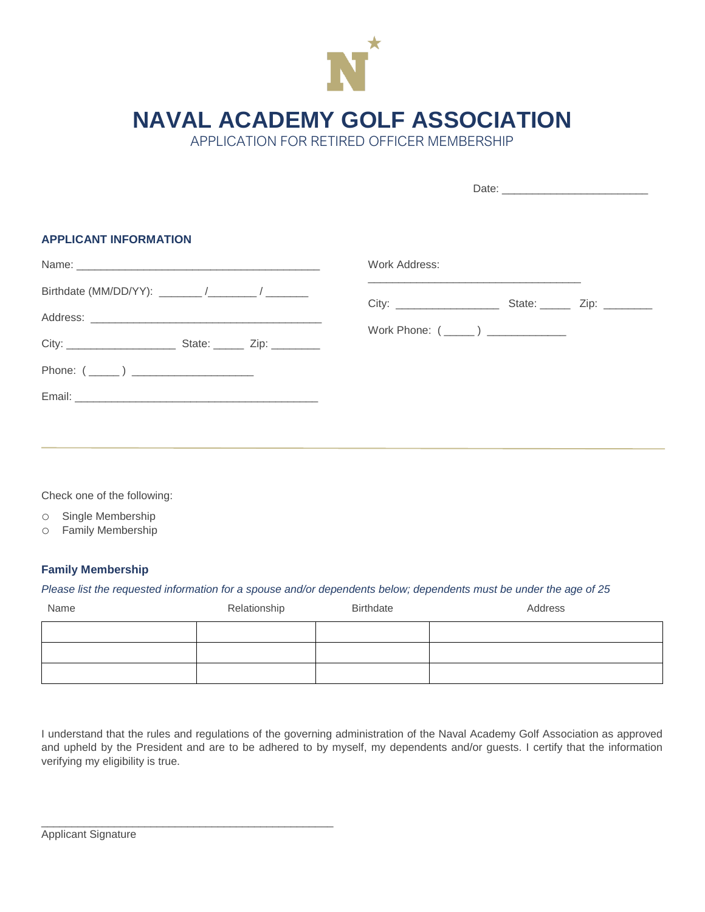

**NAVAL ACADEMY GOLF ASSOCIATION**

APPLICATION FOR RETIRED OFFICER MEMBERSHIP

| <b>APPLICANT INFORMATION</b> |                                                                                                                  |
|------------------------------|------------------------------------------------------------------------------------------------------------------|
|                              | Work Address:                                                                                                    |
|                              | and the control of the control of the control of the control of the control of the control of the control of the |
|                              |                                                                                                                  |
|                              | Work Phone: (______) _______________                                                                             |
|                              |                                                                                                                  |
|                              |                                                                                                                  |
|                              |                                                                                                                  |
|                              |                                                                                                                  |

Check one of the following:

o Single Membership

o Family Membership

## **Family Membership**

## *Please list the requested information for a spouse and/or dependents below; dependents must be under the age of 25*

| Name | Relationship | Birthdate | Address |
|------|--------------|-----------|---------|
|      |              |           |         |
|      |              |           |         |
|      |              |           |         |

I understand that the rules and regulations of the governing administration of the Naval Academy Golf Association as approved and upheld by the President and are to be adhered to by myself, my dependents and/or guests. I certify that the information verifying my eligibility is true.

\_\_\_\_\_\_\_\_\_\_\_\_\_\_\_\_\_\_\_\_\_\_\_\_\_\_\_\_\_\_\_\_\_\_\_\_\_\_\_\_\_\_\_\_\_\_\_\_